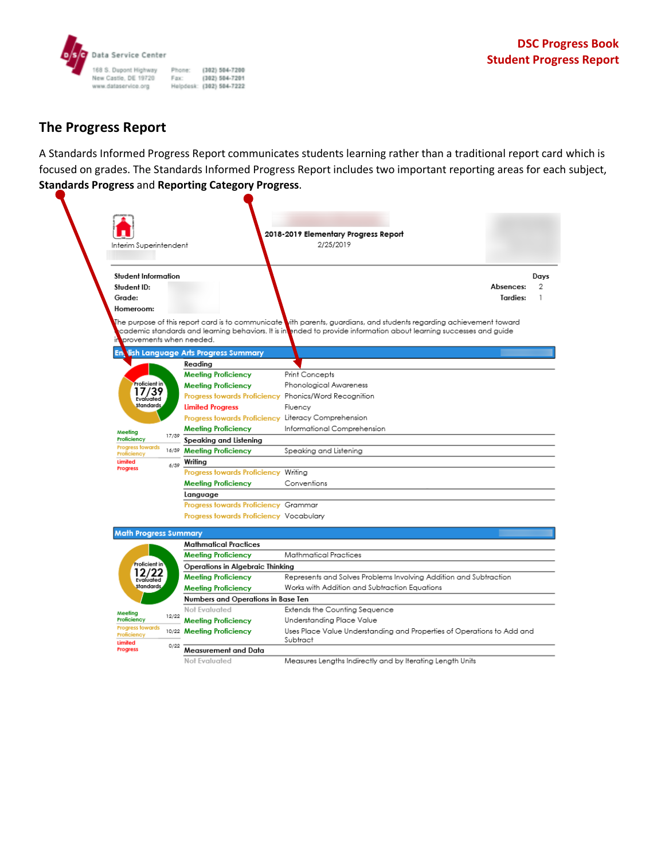

## **The Progress Report**

A Standards Informed Progress Report communicates students learning rather than a traditional report card which is focused on grades. The Standards Informed Progress Report includes two important reporting areas for each subject, **Standards Progress** and **Reporting Category Progress**.

|                                                                                                                                                                   | Interim Superintendent |                                         | 2018-2019 Elementary Progress Report<br>2/25/2019                                                                                                                                                                                          |
|-------------------------------------------------------------------------------------------------------------------------------------------------------------------|------------------------|-----------------------------------------|--------------------------------------------------------------------------------------------------------------------------------------------------------------------------------------------------------------------------------------------|
| Student Information                                                                                                                                               |                        |                                         |                                                                                                                                                                                                                                            |
| Student ID:                                                                                                                                                       |                        |                                         | Absences:                                                                                                                                                                                                                                  |
| Grade:                                                                                                                                                            |                        |                                         | Tardies:                                                                                                                                                                                                                                   |
| Homeroom:                                                                                                                                                         |                        |                                         |                                                                                                                                                                                                                                            |
| provements when needed.                                                                                                                                           |                        |                                         | The purpose of this report card is to communicate vith parents, guardians, and students regarding achievement toward<br>cademic standards and learning behaviors. It is in ended to provide information about learning successes and guide |
| En                                                                                                                                                                |                        | lish Language Arts Progress Summary     |                                                                                                                                                                                                                                            |
| Proficient in<br>17/39<br>Evaluated<br>Standards.<br>Meeting<br><b>Proficiency</b><br><b>Progress towards</b><br><b>Proficiency</b><br>Limited<br><b>Progress</b> |                        | Reading                                 |                                                                                                                                                                                                                                            |
|                                                                                                                                                                   |                        | <b>Meeting Proficiency</b>              | Print Concepts                                                                                                                                                                                                                             |
|                                                                                                                                                                   |                        | <b>Meeting Proficiency</b>              | Phonological Awareness                                                                                                                                                                                                                     |
|                                                                                                                                                                   |                        |                                         | Progress towards Proficiency Phonics/Word Recognition                                                                                                                                                                                      |
|                                                                                                                                                                   |                        | <b>Limited Progress</b>                 | Fluency                                                                                                                                                                                                                                    |
|                                                                                                                                                                   |                        |                                         | Progress towards Proficiency Literacy Comprehension                                                                                                                                                                                        |
|                                                                                                                                                                   | 17/39                  | <b>Meeting Proficiency</b>              | Informational Comprehension                                                                                                                                                                                                                |
|                                                                                                                                                                   |                        | Speaking and Listening                  |                                                                                                                                                                                                                                            |
|                                                                                                                                                                   |                        | 16/39 Meeting Proficiency               | Speaking and Listening                                                                                                                                                                                                                     |
|                                                                                                                                                                   | Writina<br>6/39        |                                         |                                                                                                                                                                                                                                            |
|                                                                                                                                                                   |                        | Progress towards Proficiency Writing    |                                                                                                                                                                                                                                            |
|                                                                                                                                                                   |                        | <b>Meeting Proficiency</b>              | Conventions                                                                                                                                                                                                                                |
|                                                                                                                                                                   |                        | Language                                |                                                                                                                                                                                                                                            |
|                                                                                                                                                                   |                        | Progress towards Proficiency Grammar    |                                                                                                                                                                                                                                            |
|                                                                                                                                                                   |                        | Progress towards Proficiency Vocabulary |                                                                                                                                                                                                                                            |
| <b>Math Progress Summary</b>                                                                                                                                      |                        |                                         |                                                                                                                                                                                                                                            |
|                                                                                                                                                                   |                        | <b>Mathmatical Practices</b>            |                                                                                                                                                                                                                                            |
| <b>Proficient</b> in<br>12/22<br>Evaluated<br>Standards.                                                                                                          |                        | <b>Meeting Proficiency</b>              | Mathmatical Practices                                                                                                                                                                                                                      |
|                                                                                                                                                                   |                        | Operations in Algebraic Thinking        |                                                                                                                                                                                                                                            |
|                                                                                                                                                                   |                        | <b>Meeting Proficiency</b>              | Represents and Solves Problems Involving Addition and Subtraction                                                                                                                                                                          |
|                                                                                                                                                                   |                        | <b>Meeting Proficiency</b>              | Works with Addition and Subtraction Equations                                                                                                                                                                                              |
|                                                                                                                                                                   |                        | Numbers and Operations in Base Ten      |                                                                                                                                                                                                                                            |
| Meeting<br><b>Proficiency</b>                                                                                                                                     |                        | Not Evaluated                           | Extends the Counting Sequence                                                                                                                                                                                                              |
|                                                                                                                                                                   | 12/22                  | <b>Meeting Proficiency</b>              | Understanding Place Value                                                                                                                                                                                                                  |
| <b>Progress towards</b><br>Proficiency<br>Limited                                                                                                                 |                        | 10/22 Meeting Proficiency               | Uses Place Value Understanding and Properties of Operations to Add and<br>Subtract                                                                                                                                                         |
|                                                                                                                                                                   | 0/22                   | Measurement and Data                    |                                                                                                                                                                                                                                            |
| <b>Progress</b>                                                                                                                                                   |                        |                                         |                                                                                                                                                                                                                                            |